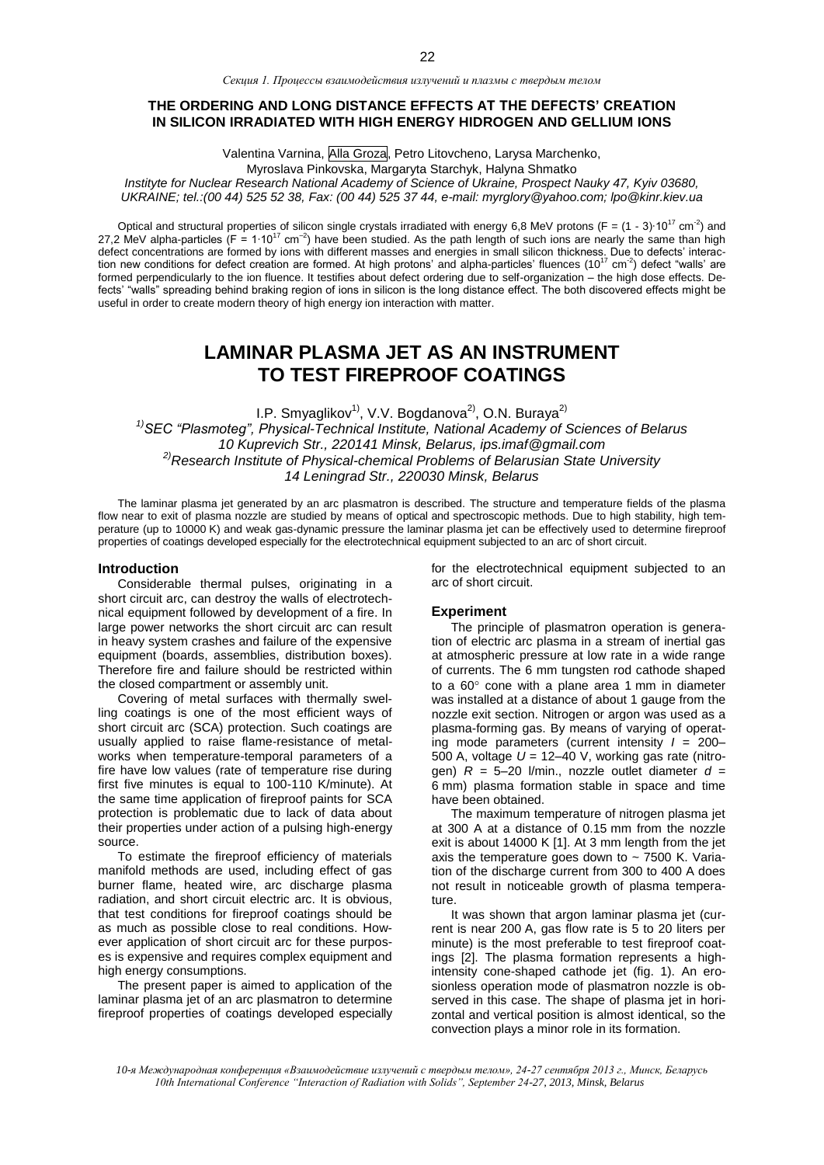*Секция 1. Процессы взаимодействия излучений и плазмы с твердым телом*

# **THE ORDERING AND LONG DISTANCE EFFECTS AT THE DEFECTS' CREATION IN SILICON IRRADIATED WITH HIGH ENERGY HIDROGEN AND GELLIUM IONS**

Valentina Varnina, Alla Groza, Petro Litovcheno, Larysa Marchenko,

Myroslava Pinkovska, Margaryta Starchyk, Halyna Shmatko

*Instityte for Nuclear Research National Academy of Science of Ukraine, Prospect Nauky 47, Kyiv 03680, UKRAINE; tel.:(00 44) 525 52 38, Fax: (00 44) 525 37 44, e-mail[: myrglory@yahoo.com;](mailto:myrglory@yahoo.com) lpo@kinr.kiev.ua*

Optical and structural properties of silicon single crystals irradiated with energy 6,8 MeV protons (F = (1 - 3) $\cdot 10^{17}$  cm<sup>-2</sup>) and 27,2 MeV alpha-particles (F = 1 $\cdot 10^{17}$  cm<sup>-2</sup>) have been studied. As the path len defect concentrations are formed by ions with different masses and energies in small silicon thickness. Due to defects' interaction new conditions for defect creation are formed. At high protons' and alpha-particles' fluences  $(10^{17} \text{ cm}^{-2})$  defect "walls' are formed perpendicularly to the ion fluence. It testifies about defect ordering due to self-organization – the high dose effects. Defects' "walls" spreading behind braking region of ions in silicon is the long distance effect. The both discovered effects might be

# **LAMINAR PLASMA JET AS AN INSTRUMENT TO TEST FIREPROOF COATINGS**

I.P. Smyaglikov<sup>1)</sup>, V.V. Bogdanova<sup>2)</sup>, O.N. Buraya<sup>2)</sup> *1)SEC "Plasmoteg", Physical-Technical Institute, National Academy of Sciences of Belarus 10 Kuprevich Str., 220141 Minsk, Belarus, ips.imaf@gmail.com 2)Research Institute of Physical-chemical Problems of Belarusian State University 14 Leningrad Str., 220030 Minsk, Belarus*

The laminar plasma jet generated by an arc plasmatron is described. The structure and temperature fields of the plasma flow near to exit of plasma nozzle are studied by means of optical and spectroscopic methods. Due to high stability, high temperature (up to 10000 K) and weak gas-dynamic pressure the laminar plasma jet can be effectively used to determine fireproof properties of coatings developed especially for the electrotechnical equipment subjected to an arc of short circuit.

### **Introduction**

Considerable thermal pulses, originating in a short circuit arc, can destroy the walls of electrotechnical equipment followed by development of a fire. In large power networks the short circuit arc can result in heavy system crashes and failure of the expensive equipment (boards, assemblies, distribution boxes). Therefore fire and failure should be restricted within the closed compartment or assembly unit.

useful in order to create modern theory of high energy ion interaction with matter.

Covering of metal surfaces with thermally swelling coatings is one of the most efficient ways of short circuit arc (SCA) protection. Such coatings are usually applied to raise flame-resistance of metalworks when temperature-temporal parameters of a fire have low values (rate of temperature rise during first five minutes is equal to 100-110 K/minute). At the same time application of fireproof paints for SCA protection is problematic due to lack of data about their properties under action of a pulsing high-energy source.

To estimate the fireproof efficiency of materials manifold methods are used, including effect of gas burner flame, heated wire, arc discharge plasma radiation, and short circuit electric arc. It is obvious, that test conditions for fireproof coatings should be as much as possible close to real conditions. However application of short circuit arc for these purposes is expensive and requires complex equipment and high energy consumptions.

The present paper is aimed to application of the laminar plasma jet of an arc plasmatron to determine fireproof properties of coatings developed especially for the electrotechnical equipment subjected to an arc of short circuit.

## **Experiment**

The principle of plasmatron operation is generation of electric arc plasma in a stream of inertial gas at atmospheric pressure at low rate in a wide range of currents. The 6 mm tungsten rod cathode shaped to a  $60^\circ$  cone with a plane area 1 mm in diameter was installed at a distance of about 1 gauge from the nozzle exit section. Nitrogen or argon was used as a plasma-forming gas. By means of varying of operating mode parameters (current intensity *I* = 200– 500 A, voltage *U* = 12–40 V, working gas rate (nitrogen)  $R = 5-20$  l/min., nozzle outlet diameter  $d =$ 6 mm) plasma formation stable in space and time have been obtained.

The maximum temperature of nitrogen plasma jet at 300 A at a distance of 0.15 mm from the nozzle exit is about 14000 K [1]. At 3 mm length from the jet axis the temperature goes down to  $\sim$  7500 K. Variation of the discharge current from 300 to 400 A does not result in noticeable growth of plasma temperature.

It was shown that argon laminar plasma jet (current is near 200 A, gas flow rate is 5 to 20 liters per minute) is the most preferable to test fireproof coatings [2]. The plasma formation represents a highintensity cone-shaped cathode jet (fig. 1). An erosionless operation mode of plasmatron nozzle is observed in this case. The shape of plasma jet in horizontal and vertical position is almost identical, so the convection plays a minor role in its formation.

*<sup>10-</sup>я Международная конференция «Взаимодействие излучений с твердым телом», 24-27 сентября 2013 г., Минск, Беларусь 10th International Conference "Interaction of Radiation with Solids", September 24-27, 2013, Minsk, Belarus*